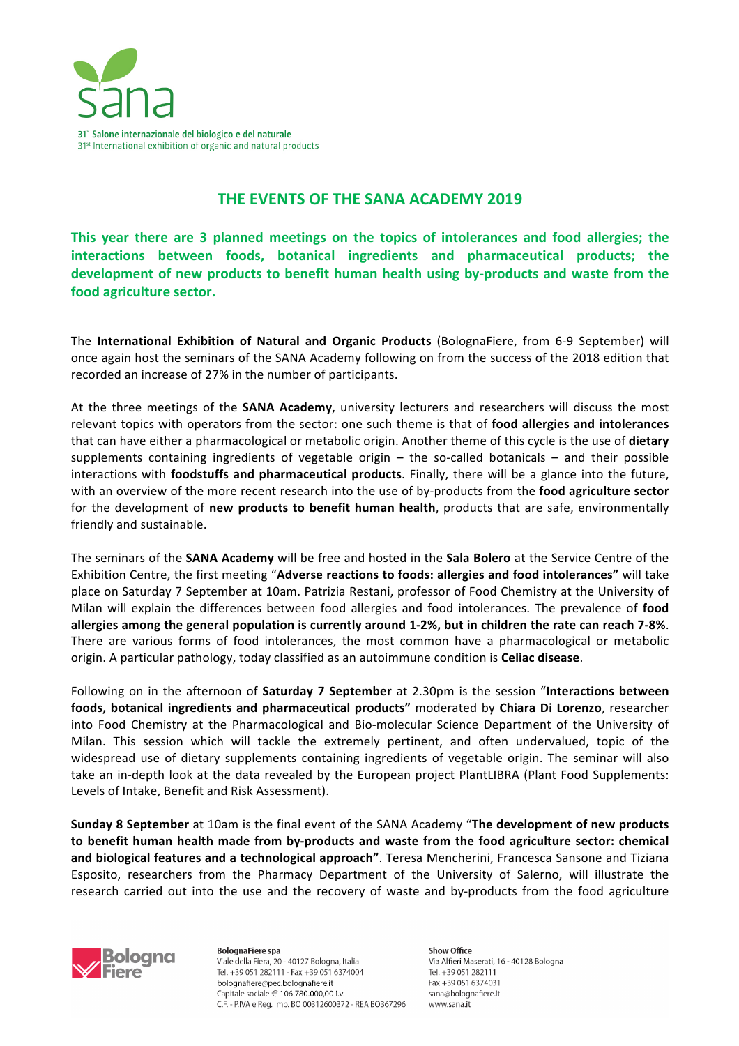

## **THE EVENTS OF THE SANA ACADEMY 2019**

This year there are 3 planned meetings on the topics of intolerances and food allergies; the interactions between foods, botanical ingredients and pharmaceutical products; the **development of new products to benefit human health using by-products and waste from the** food agriculture sector.

The **International Exhibition of Natural and Organic Products** (BolognaFiere, from 6-9 September) will once again host the seminars of the SANA Academy following on from the success of the 2018 edition that recorded an increase of 27% in the number of participants.

At the three meetings of the **SANA Academy**, university lecturers and researchers will discuss the most relevant topics with operators from the sector: one such theme is that of **food allergies and intolerances** that can have either a pharmacological or metabolic origin. Another theme of this cycle is the use of **dietary** supplements containing ingredients of vegetable origin  $-$  the so-called botanicals  $-$  and their possible interactions with **foodstuffs and pharmaceutical products**. Finally, there will be a glance into the future, with an overview of the more recent research into the use of by-products from the **food agriculture sector** for the development of new products to benefit human health, products that are safe, environmentally friendly and sustainable.

The seminars of the **SANA Academy** will be free and hosted in the **Sala Bolero** at the Service Centre of the Exhibition Centre, the first meeting "**Adverse reactions to foods: allergies and food intolerances"** will take place on Saturday 7 September at 10am. Patrizia Restani, professor of Food Chemistry at the University of Milan will explain the differences between food allergies and food intolerances. The prevalence of **food** allergies among the general population is currently around 1-2%, but in children the rate can reach 7-8%. There are various forms of food intolerances, the most common have a pharmacological or metabolic origin. A particular pathology, today classified as an autoimmune condition is **Celiac disease**.

Following on in the afternoon of **Saturday 7 September** at 2.30pm is the session "Interactions between foods, botanical ingredients and pharmaceutical products" moderated by Chiara Di Lorenzo, researcher into Food Chemistry at the Pharmacological and Bio-molecular Science Department of the University of Milan. This session which will tackle the extremely pertinent, and often undervalued, topic of the widespread use of dietary supplements containing ingredients of vegetable origin. The seminar will also take an in-depth look at the data revealed by the European project PlantLIBRA (Plant Food Supplements: Levels of Intake, Benefit and Risk Assessment).

**Sunday 8 September** at 10am is the final event of the SANA Academy "The development of new products to benefit human health made from by-products and waste from the food agriculture sector: chemical and biological features and a technological approach". Teresa Mencherini, Francesca Sansone and Tiziana Esposito, researchers from the Pharmacy Department of the University of Salerno, will illustrate the research carried out into the use and the recovery of waste and by-products from the food agriculture



**BolognaFiere spa** Viale della Fiera, 20 - 40127 Bologna, Italia Tel. +39 051 282111 - Fax +39 051 6374004 bolognafiere@pec.bolognafiere.it Capitale sociale € 106.780.000,00 i.v. C.F. - P.IVA e Reg. Imp. BO 00312600372 - REA BO367296 Show Office Via Alfieri Maserati, 16 - 40128 Bologna Tel. +39 051 282111 Fax +39 051 6374031 sana@bolognafiere.it www.sana.it